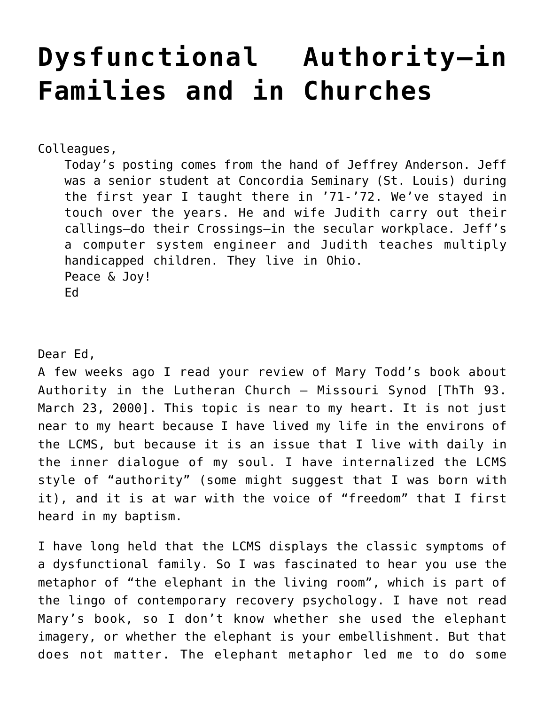# **[Dysfunctional Authority–in](https://crossings.org/dysfunctional-authority-in-families-and-in-churches/) [Families and in Churches](https://crossings.org/dysfunctional-authority-in-families-and-in-churches/)**

Colleagues,

Today's posting comes from the hand of Jeffrey Anderson. Jeff was a senior student at Concordia Seminary (St. Louis) during the first year I taught there in '71-'72. We've stayed in touch over the years. He and wife Judith carry out their callings–do their Crossings–in the secular workplace. Jeff's a computer system engineer and Judith teaches multiply handicapped children. They live in Ohio. Peace & Joy! Ed

Dear Ed,

A few weeks ago I read your review of Mary Todd's book about Authority in the Lutheran Church – Missouri Synod [ThTh 93. March 23, 2000]. This topic is near to my heart. It is not just near to my heart because I have lived my life in the environs of the LCMS, but because it is an issue that I live with daily in the inner dialogue of my soul. I have internalized the LCMS style of "authority" (some might suggest that I was born with it), and it is at war with the voice of "freedom" that I first heard in my baptism.

I have long held that the LCMS displays the classic symptoms of a dysfunctional family. So I was fascinated to hear you use the metaphor of "the elephant in the living room", which is part of the lingo of contemporary recovery psychology. I have not read Mary's book, so I don't know whether she used the elephant imagery, or whether the elephant is your embellishment. But that does not matter. The elephant metaphor led me to do some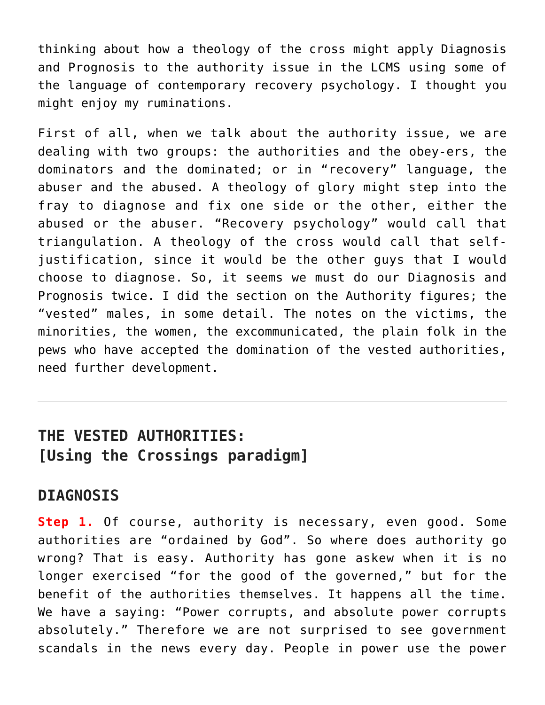thinking about how a theology of the cross might apply Diagnosis and Prognosis to the authority issue in the LCMS using some of the language of contemporary recovery psychology. I thought you might enjoy my ruminations.

First of all, when we talk about the authority issue, we are dealing with two groups: the authorities and the obey-ers, the dominators and the dominated; or in "recovery" language, the abuser and the abused. A theology of glory might step into the fray to diagnose and fix one side or the other, either the abused or the abuser. "Recovery psychology" would call that triangulation. A theology of the cross would call that selfjustification, since it would be the other guys that I would choose to diagnose. So, it seems we must do our Diagnosis and Prognosis twice. I did the section on the Authority figures; the "vested" males, in some detail. The notes on the victims, the minorities, the women, the excommunicated, the plain folk in the pews who have accepted the domination of the vested authorities, need further development.

## **THE VESTED AUTHORITIES: [Using the Crossings paradigm]**

#### **DIAGNOSIS**

**Step 1.** Of course, authority is necessary, even good. Some authorities are "ordained by God". So where does authority go wrong? That is easy. Authority has gone askew when it is no longer exercised "for the good of the governed," but for the benefit of the authorities themselves. It happens all the time. We have a saying: "Power corrupts, and absolute power corrupts absolutely." Therefore we are not surprised to see government scandals in the news every day. People in power use the power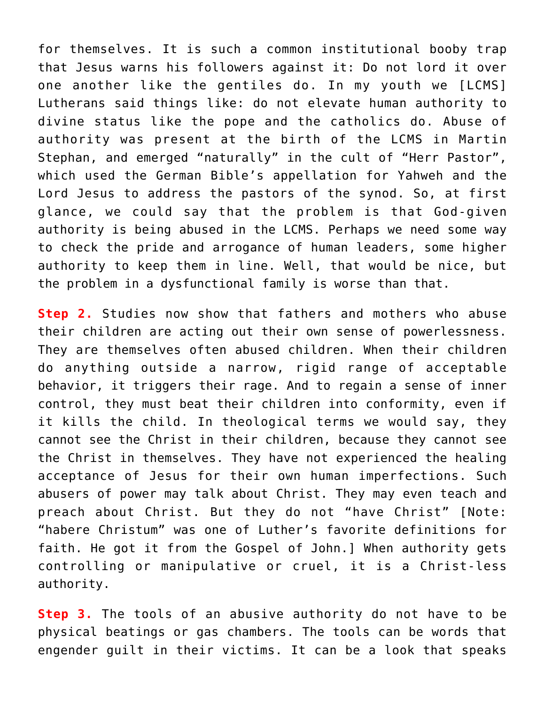for themselves. It is such a common institutional booby trap that Jesus warns his followers against it: Do not lord it over one another like the gentiles do. In my youth we [LCMS] Lutherans said things like: do not elevate human authority to divine status like the pope and the catholics do. Abuse of authority was present at the birth of the LCMS in Martin Stephan, and emerged "naturally" in the cult of "Herr Pastor", which used the German Bible's appellation for Yahweh and the Lord Jesus to address the pastors of the synod. So, at first glance, we could say that the problem is that God-given authority is being abused in the LCMS. Perhaps we need some way to check the pride and arrogance of human leaders, some higher authority to keep them in line. Well, that would be nice, but the problem in a dysfunctional family is worse than that.

**Step 2.** Studies now show that fathers and mothers who abuse their children are acting out their own sense of powerlessness. They are themselves often abused children. When their children do anything outside a narrow, rigid range of acceptable behavior, it triggers their rage. And to regain a sense of inner control, they must beat their children into conformity, even if it kills the child. In theological terms we would say, they cannot see the Christ in their children, because they cannot see the Christ in themselves. They have not experienced the healing acceptance of Jesus for their own human imperfections. Such abusers of power may talk about Christ. They may even teach and preach about Christ. But they do not "have Christ" [Note: "habere Christum" was one of Luther's favorite definitions for faith. He got it from the Gospel of John.] When authority gets controlling or manipulative or cruel, it is a Christ-less authority.

**Step 3.** The tools of an abusive authority do not have to be physical beatings or gas chambers. The tools can be words that engender guilt in their victims. It can be a look that speaks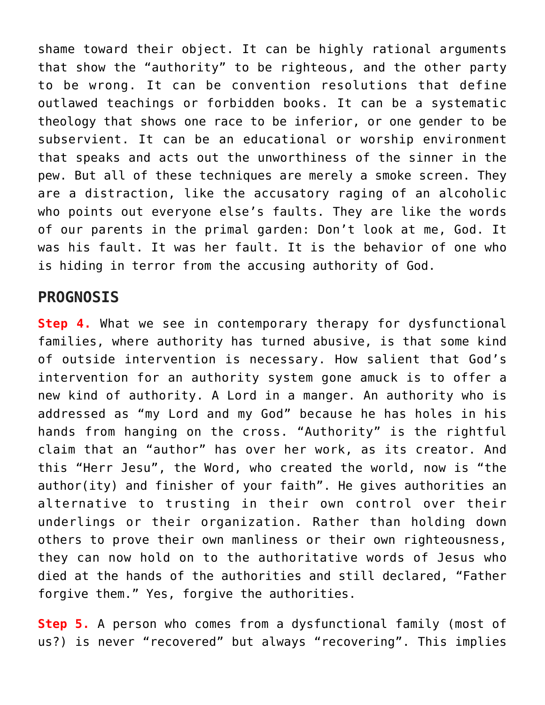shame toward their object. It can be highly rational arguments that show the "authority" to be righteous, and the other party to be wrong. It can be convention resolutions that define outlawed teachings or forbidden books. It can be a systematic theology that shows one race to be inferior, or one gender to be subservient. It can be an educational or worship environment that speaks and acts out the unworthiness of the sinner in the pew. But all of these techniques are merely a smoke screen. They are a distraction, like the accusatory raging of an alcoholic who points out everyone else's faults. They are like the words of our parents in the primal garden: Don't look at me, God. It was his fault. It was her fault. It is the behavior of one who is hiding in terror from the accusing authority of God.

### **PROGNOSIS**

**Step 4.** What we see in contemporary therapy for dysfunctional families, where authority has turned abusive, is that some kind of outside intervention is necessary. How salient that God's intervention for an authority system gone amuck is to offer a new kind of authority. A Lord in a manger. An authority who is addressed as "my Lord and my God" because he has holes in his hands from hanging on the cross. "Authority" is the rightful claim that an "author" has over her work, as its creator. And this "Herr Jesu", the Word, who created the world, now is "the author(ity) and finisher of your faith". He gives authorities an alternative to trusting in their own control over their underlings or their organization. Rather than holding down others to prove their own manliness or their own righteousness, they can now hold on to the authoritative words of Jesus who died at the hands of the authorities and still declared, "Father forgive them." Yes, forgive the authorities.

**Step 5.** A person who comes from a dysfunctional family (most of us?) is never "recovered" but always "recovering". This implies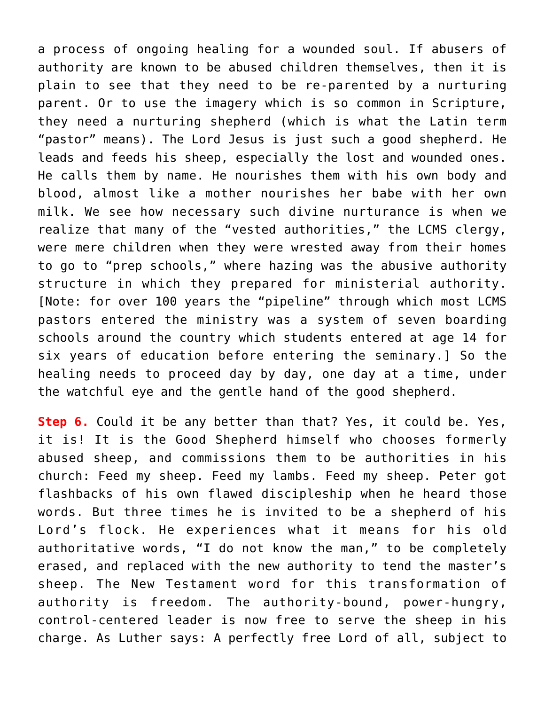a process of ongoing healing for a wounded soul. If abusers of authority are known to be abused children themselves, then it is plain to see that they need to be re-parented by a nurturing parent. Or to use the imagery which is so common in Scripture, they need a nurturing shepherd (which is what the Latin term "pastor" means). The Lord Jesus is just such a good shepherd. He leads and feeds his sheep, especially the lost and wounded ones. He calls them by name. He nourishes them with his own body and blood, almost like a mother nourishes her babe with her own milk. We see how necessary such divine nurturance is when we realize that many of the "vested authorities," the LCMS clergy, were mere children when they were wrested away from their homes to go to "prep schools," where hazing was the abusive authority structure in which they prepared for ministerial authority. [Note: for over 100 years the "pipeline" through which most LCMS pastors entered the ministry was a system of seven boarding schools around the country which students entered at age 14 for six years of education before entering the seminary.] So the healing needs to proceed day by day, one day at a time, under the watchful eye and the gentle hand of the good shepherd.

**Step 6.** Could it be any better than that? Yes, it could be. Yes, it is! It is the Good Shepherd himself who chooses formerly abused sheep, and commissions them to be authorities in his church: Feed my sheep. Feed my lambs. Feed my sheep. Peter got flashbacks of his own flawed discipleship when he heard those words. But three times he is invited to be a shepherd of his Lord's flock. He experiences what it means for his old authoritative words, "I do not know the man," to be completely erased, and replaced with the new authority to tend the master's sheep. The New Testament word for this transformation of authority is freedom. The authority-bound, power-hungry, control-centered leader is now free to serve the sheep in his charge. As Luther says: A perfectly free Lord of all, subject to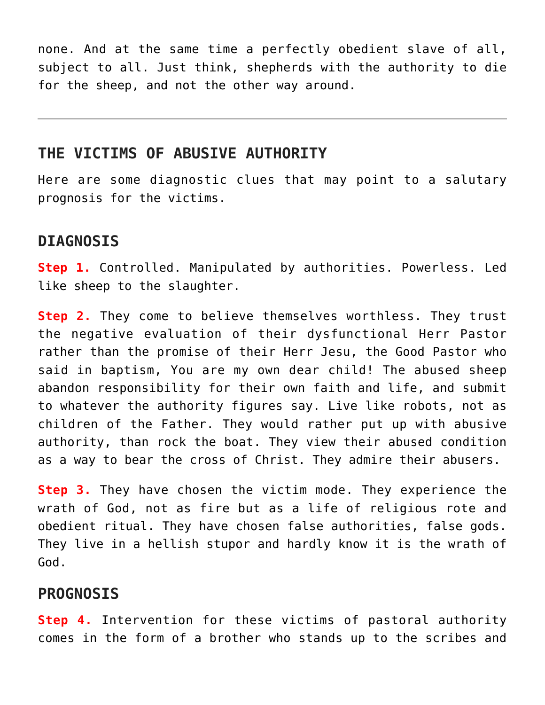none. And at the same time a perfectly obedient slave of all, subject to all. Just think, shepherds with the authority to die for the sheep, and not the other way around.

#### **THE VICTIMS OF ABUSIVE AUTHORITY**

Here are some diagnostic clues that may point to a salutary prognosis for the victims.

### **DIAGNOSIS**

**Step 1.** Controlled. Manipulated by authorities. Powerless. Led like sheep to the slaughter.

**Step 2.** They come to believe themselves worthless. They trust the negative evaluation of their dysfunctional Herr Pastor rather than the promise of their Herr Jesu, the Good Pastor who said in baptism, You are my own dear child! The abused sheep abandon responsibility for their own faith and life, and submit to whatever the authority figures say. Live like robots, not as children of the Father. They would rather put up with abusive authority, than rock the boat. They view their abused condition as a way to bear the cross of Christ. They admire their abusers.

**Step 3.** They have chosen the victim mode. They experience the wrath of God, not as fire but as a life of religious rote and obedient ritual. They have chosen false authorities, false gods. They live in a hellish stupor and hardly know it is the wrath of God.

#### **PROGNOSIS**

**Step 4.** Intervention for these victims of pastoral authority comes in the form of a brother who stands up to the scribes and